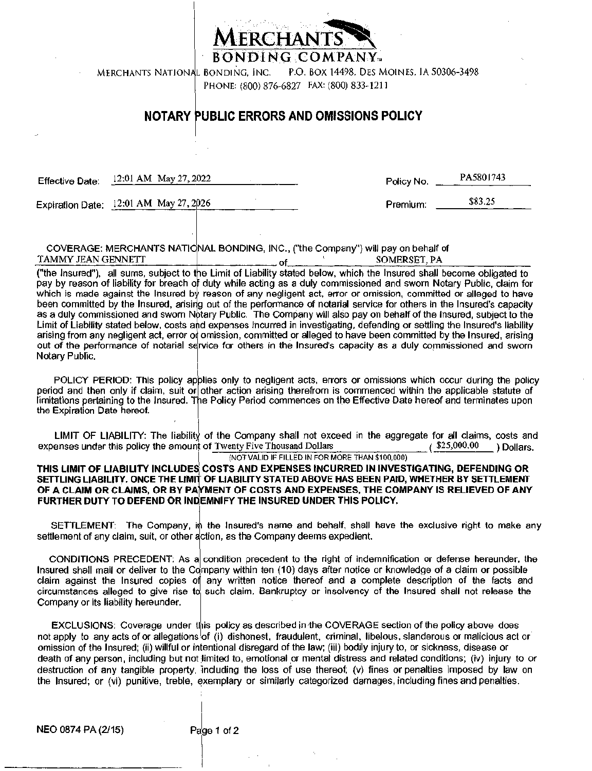

BONDING COMPANY...

P.O. BOX 14498. DES MOINES. IA 50306-3498 MERCHANTS NATIONAL BONDING, INC.

PHONE: (800) 876-6827 FAX: (800) 833-1211

#### NOTARY PUBLIC ERRORS AND OMISSIONS POLICY

PA5801743 12:01 AM May 27, 2022 Effective Date: Policy No. Expiration Date: 12:01 AM May 27, 2026 \$83.25 Premium:

COVERAGE: MERCHANTS NATIONAL BONDING, INC., ("the Company") will pay on behalf of TAMMY JEAN GENNETT SOMERSET, PA \_ of\_

("the Insured"), all sums, subject to the Limit of Liability stated below, which the Insured shall become obligated to pay by reason of liability for breach of duty while acting as a duly commissioned and sworn Notary Public, claim for which is made against the Insured by reason of any negligent act, error or omission, committed or alleged to have been committed by the Insured, arising out of the performance of notarial service for others in the Insured's capacity as a duly commissioned and sworn Notary Public. The Company will also pay on behalf of the insured, subject to the Limit of Liability stated below, costs and expenses incurred in investigating, defending or settling the Insured's liability arising from any negligent act, error of omission, committed or alleged to have been committed by the Insured, arising out of the performance of notarial service for others in the Insured's capacity as a duly commissioned and sworn Notary Public,

POLICY PERIOD: This policy applies only to negligent acts, errors or omissions which occur during the policy period and then only if claim, suit or other action arising therefrom is commenced within the applicable statute of limitations pertaining to the Insured. The Policy Period commences on the Effective Date hereof and terminates upon the Expiration Date hereof.

LIMIT OF LIABILITY: The liability of the Company shall not exceed in the aggregate for all claims, costs and expenses under this policy the amount of Twenty Five Thousand Dollars  $($ \$25,000.00 Dollars. (NOT VALID IF FILLED IN FOR MORE THAN \$100,000)

THIS LIMIT OF LIABILITY INCLUDES COSTS AND EXPENSES INCURRED IN INVESTIGATING, DEFENDING OR SETTLING LIABILITY. ONCE THE LIMIT OF LIABILITY STATED ABOVE HAS BEEN PAID, WHETHER BY SETTLEMENT OF A CLAIM OR CLAIMS, OR BY PAYMENT OF COSTS AND EXPENSES, THE COMPANY IS RELIEVED OF ANY FURTHER DUTY TO DEFEND OR INDEMNIFY THE INSURED UNDER THIS POLICY.

SETTLEMENT: The Company, in the Insured's name and behalf, shall have the exclusive right to make any settlement of any claim, suit, or other action, as the Company deems expedient.

CONDITIONS PRECEDENT: As a condition precedent to the right of indemnification or defense hereunder, the Insured shall mail or deliver to the Company within ten (10) days after notice or knowledge of a claim or possible claim against the Insured copies of any written notice thereof and a complete description of the facts and circumstances alleged to give rise to such claim. Bankruptcy or insolvency of the Insured shall not release the Company or its liability hereunder.

EXCLUSIONS: Coverage under this policy as described in the COVERAGE section of the policy above does not apply to any acts of or allegations of (i) dishonest, fraudulent, criminal, libelous, slanderous or malicious act or omission of the Insured; (ii) willful or intentional disregard of the law; (iii) bodily injury to, or sickness, disease or death of any person, including but not limited to, emotional or mental distress and related conditions; (iv) injury to or destruction of any tangible property, including the loss of use thereof; (v) fines or penalties imposed by law on the Insured; or (vi) punitive, treble, exemplary or similarly categorized damages including fines and penalties.

NEO 0874 PA (2/15)

Page 1 of 2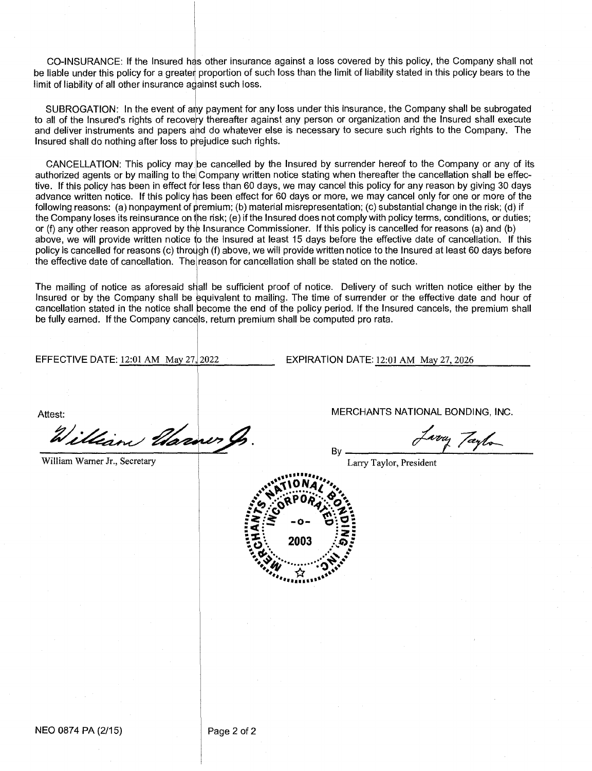CO-INSURANCE: If the Insured has other insurance against a loss covered by this policy, the Company shall not be liable under this policy for a greater proportion of such loss than the limit of liability stated in this policy bears to the limit of liability of all other insurance against such loss.

SUBROGATION: In the event of any payment for any loss under this insurance, the Company shall be subrogated to all of the Insured's rights of recovery thereafter against any person or organization and the Insured shall execute and deliver instruments and papers and do whatever else is necessary to secure such rights to the Company. The Insured shall do nothing after loss to prejudice such rights.

CANCELLATION: This policy may be cancelled by the Insured by surrender hereof to the Company or any of its authorized agents or by mailing to the Company written notice stating when thereafter the cancellation shall be effective. If this policy has been in effect for less than 60 days, we may cancel this policy for any reason by giving 30 days advance written notice. If this policy has been effect for 60 days or more, we may cancel only for one or more of the following reasons: (a) nonpayment of premium; (b) material misrepresentation; (c) substantial change in the risk; (d) if the Company loses its reinsurance on he risk; (e) if the Insured does not comply with policy terms, conditions, or duties; or (f) any other reason approved by the Insurance Commissioner. If this policy is cancelled for reasons (a) and (b) above, we will provide written notice to the Insured at least 15 days before the effective date of cancellation. If this policy is cancelled for reasons (c) through (f) above, we will provide written notice to the Insured at least 60 days before the effective date of cancellation. The reason for cancellation shall be stated on the notice.

The mailing of notice as aforesaid shall be sufficient proof of notice. Delivery of such written notice either by the Insured or by the Company shall be equivalent to mailing. The time of surrender or the effective date and hour of cancellation stated in the notice shall become the end of the policy period. If the Insured cancels, the premium shall be fully earned. If the Company cancels, return premium shall be computed pro rata.

EFFECTIVE DATE: 12:01 AM May 27,12022 EXPIRATION DATE: 12:01 AM May 27, 2026

illian liarner

William Warner Jr., Secretary **Larry Taylor, President** 

Attest: Attest: Attest: Attest: MERCHANTS NATIONAL BONDING, INC.

voy Taylo



By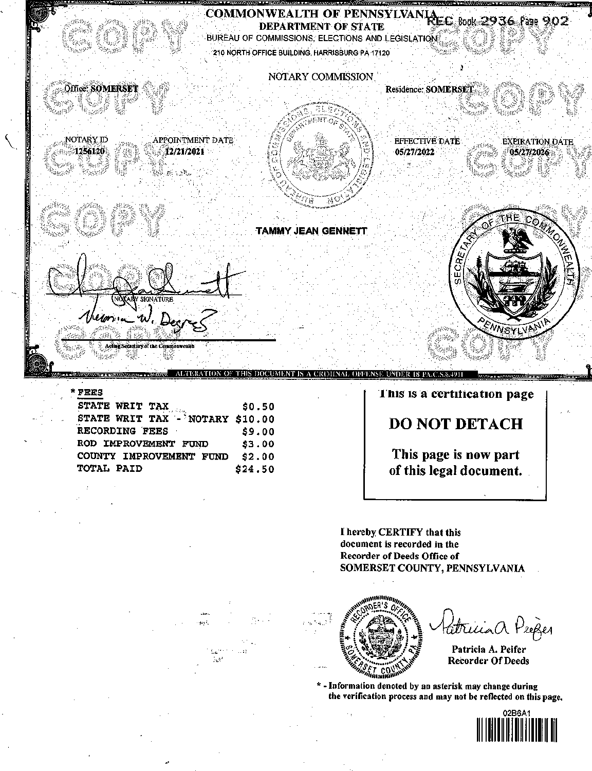

#### FEES

| STATE WRIT TAX                  | \$0.50  |
|---------------------------------|---------|
| STATE WRIT TAX - NOTARY \$10.00 |         |
| RECORDING FEES                  | \$9.00  |
| ROD IMPROVEMENT FUND            | \$3.00  |
| COUNTY IMPROVEMENT FUND         | \$2.00  |
| TOTAL PAID                      | \$24.50 |

ÑФ

#### **I'llis is a certification page**

#### **DO NOT DETACH**

**This page is now part of this legal document.** 

I hereby CERTIFY that this document is recorded in the Recorder of Deeds Office of SOMERSET COUNTY, PENNSYLVANIA



latricia à Peoper

Patricia A. Peifer Recorder Of Deeds

\* - Information denoted by an asterisk may change during the verification process and may not be reflected on this page.

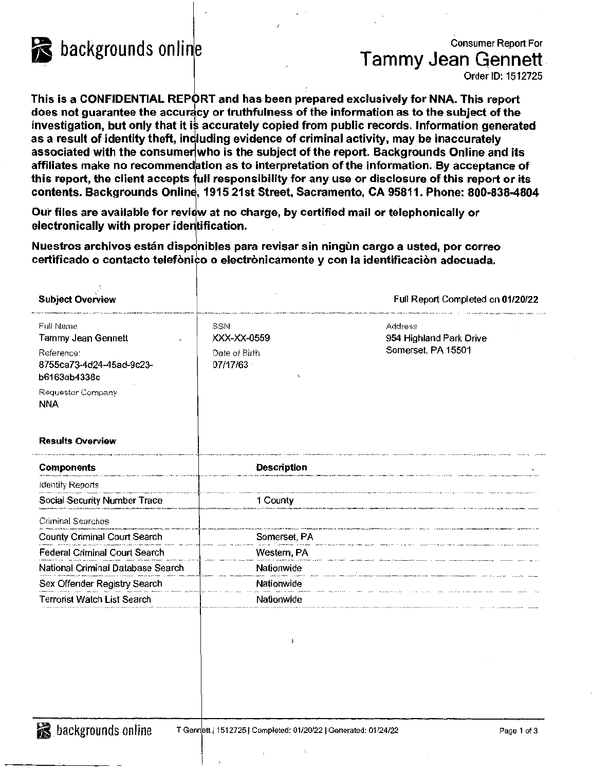

### backgrounds online Consumer Report For Tammy Jean Qennett

Order ID: 1512725

This is a CONFIDENTIAL REPORT and has been prepared exclusively for NNA. This report does not guarantee the accuracy or truthfulness of the information as to the subject of the investigation, but only that it is accurately copied from public records. Information generated as a result of identity theft, including evidence of criminal activity, may be inaccurately associated with the consumer who is the subject of the report. Backgrounds Online and its affiliates make no recommendation as to interpretation of the information. By acceptance of this report, the client accepts full responsibility for any use or disclosure of this report or its contents. Backgrounds Online, 1915 21st Street, Sacramento, CA 95811. Phone: 800-838-4804

/

Our files are available for review at no charge, by certified mail or telephonically or electronically with proper identification.

Nuestros archivos están disponibles para revisar sin ningün cargo a usted, por correo certificado o contacto telefònico o electrònicamente y con la identificaciòn adecuada.

| <b>Subject Overview</b>                                                                                                      |                                                 | Full Report Completed on 01/20/22                        |
|------------------------------------------------------------------------------------------------------------------------------|-------------------------------------------------|----------------------------------------------------------|
| Full Name<br>Tammy Jean Gennett<br>Reference:<br>8755ca73-4d24-45ad-9c23-<br>b6163ab4338c<br>Requestor Company<br><b>NNA</b> | SSN<br>XXX-XX-0559<br>Date of Birth<br>07/17/63 | Address<br>954 Highland Park Drive<br>Somerset, PA 15501 |
| <b>Results Overview</b>                                                                                                      |                                                 |                                                          |
| <b>Components</b>                                                                                                            | <b>Description</b>                              |                                                          |
| Identity Reports                                                                                                             |                                                 |                                                          |
| Social Security Number Trace                                                                                                 | 1 County                                        |                                                          |
| Criminal Searches                                                                                                            |                                                 |                                                          |
| County Criminal Court Search                                                                                                 | Somerset, PA                                    |                                                          |
| <b>Federal Criminal Court Search</b>                                                                                         | Western, PA                                     |                                                          |
| National Criminal Database Search                                                                                            | Nationwide                                      |                                                          |
| Sex Offender Registry Search                                                                                                 | Nationwide                                      |                                                          |
| Terrorist Watch List Search                                                                                                  | Nationwide                                      |                                                          |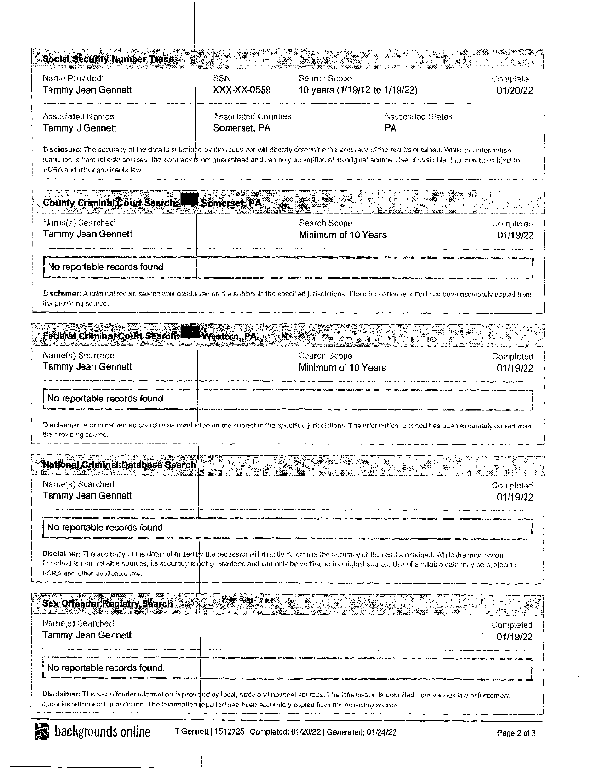| <b>Social Security Number Trace</b>        |                                     |                                                                                                                                                                                                                                                                                                                        | -4324                 |
|--------------------------------------------|-------------------------------------|------------------------------------------------------------------------------------------------------------------------------------------------------------------------------------------------------------------------------------------------------------------------------------------------------------------------|-----------------------|
| Name Provided*<br>Tammy Jean Gennett       | SSN<br>XXX-XX-0559                  | Search Scope<br>10 years (1/19/12 to 1/19/22)                                                                                                                                                                                                                                                                          | Completed<br>01/20/22 |
| Associated Names<br>Tammy J Gennett        | Associated Counties<br>Somerset, PA | Associated States<br>PA                                                                                                                                                                                                                                                                                                |                       |
| FCRA and other applicable law.             |                                     | Disclosure: The accuracy of the data is sulanitied by the requestor will directly determine the accuracy of the results obtained. While the information<br>furnished is from reliable sources, the accuracy is not guaranteed and can only be verified at its original source. Use of available data may be subject to |                       |
| County Criminal Court Search: Somerset, PA |                                     |                                                                                                                                                                                                                                                                                                                        |                       |
| Name(s) Searched<br>Tammy Jean Gennett     |                                     | Search Scope<br>Minimum of 10 Years                                                                                                                                                                                                                                                                                    | Completed<br>01/19/22 |
| No reportable records found                |                                     |                                                                                                                                                                                                                                                                                                                        |                       |
| the providing source.                      |                                     | Disclaimer: A criminal record search was conducted on the subject in the specified jurisdictions. The information reported has been accurately copied from                                                                                                                                                             |                       |
| Federal Criminal Court Search.             | Western, PA-                        |                                                                                                                                                                                                                                                                                                                        |                       |
| Name(s) Searched<br>Tammy Jean Gennett     |                                     | Search Scope<br>Minimum of 10 Years                                                                                                                                                                                                                                                                                    | Completed<br>01/19/22 |
| No reportable records found.               |                                     |                                                                                                                                                                                                                                                                                                                        |                       |
| the providing source.                      |                                     | Disclaimer: A criminal record seerch was conducted on the subject in the specified juricdictions. The information recorted has been eccurately copied from                                                                                                                                                             |                       |
| <b>National Criminal Database Search</b>   |                                     |                                                                                                                                                                                                                                                                                                                        |                       |
| мапіе(s) Searched<br>Tammy Jean Gennett    |                                     |                                                                                                                                                                                                                                                                                                                        | Completed<br>01/19/22 |
| No reportable records found                |                                     |                                                                                                                                                                                                                                                                                                                        |                       |
| FCRA and other applicable law.             |                                     | Disclaimer: The accuracy of the data submitted by the requestor will directly delermine the accuracy of the results obtained. While the information<br>furnished is from reliable sources, its accuracy is not guaranteed and can only be verified at its criginal source. Use of available data may be subject to     |                       |
| <b>Sex Offender Registry Search</b>        |                                     |                                                                                                                                                                                                                                                                                                                        |                       |
| Name(s) Searched<br>Tammy Jean Gennett     |                                     |                                                                                                                                                                                                                                                                                                                        | Completed<br>01/19/22 |
| No reportable records found.               |                                     |                                                                                                                                                                                                                                                                                                                        |                       |
|                                            |                                     | Disolaimer: The sex offender information is provided by local, state end national sources. The information is compiled from various law enforcement                                                                                                                                                                    |                       |

÷,

J.

 $\cdot$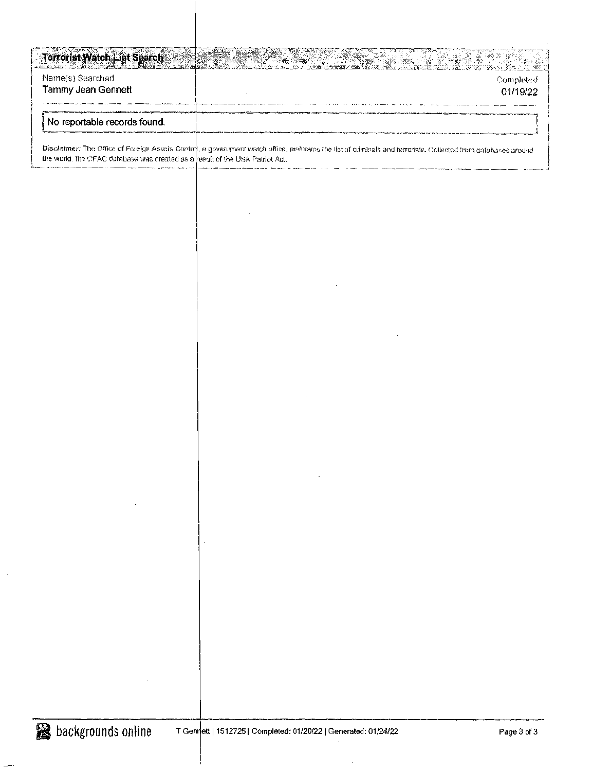| <b>Terrorist Watch List Search</b> |                                                                                                                                                                                                                                |
|------------------------------------|--------------------------------------------------------------------------------------------------------------------------------------------------------------------------------------------------------------------------------|
| Name(s) Searched                   | Completed                                                                                                                                                                                                                      |
| Tammy Jean Gennett                 | 01/19/22                                                                                                                                                                                                                       |
|                                    |                                                                                                                                                                                                                                |
|                                    |                                                                                                                                                                                                                                |
| No reportable records found.       |                                                                                                                                                                                                                                |
|                                    |                                                                                                                                                                                                                                |
|                                    | Biodoiman This Office of Carolin Across Control is recovered which allow probability that of which change the was supported as a final control of the second control of the second control of the second control of the second |

Disclaimer: The Office of Foreign Assets Control, a government watch office, makitains the list of criminals and terrorists. Collected from databases around the world. The CFAC dutabase was created as a result of the USA Patriot Act.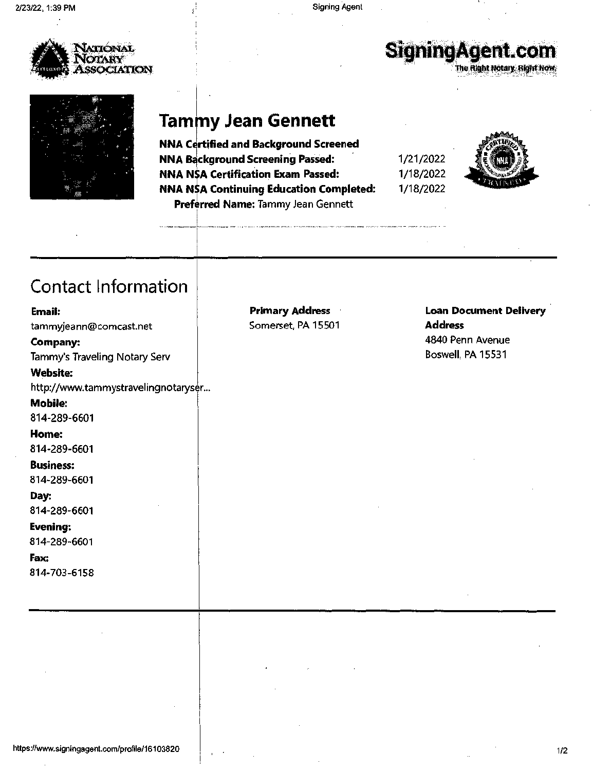

# SigningAgent.com

The Alght Notary, Right Now,



#### **Tammy Jean Gennett**

**NNA Certified and Background Screened NNA Background Screening Passed: NNA NSA Certification Exam Passed:**  NNA NA **Continuing Education Completed:**  Preferred Name: Tammy Jean Gennett

1/21/2022 1/18/2022 1/18/2022



## Contact Information

| Email:<br>tammyjeann@comcast.net<br>Company:<br>Tammy's Traveling Notary Serv<br><b>Website:</b><br>http://www.tammystravelingnotaryser<br><b>Mobile:</b><br>814-289-6601<br>Home: | <b>Primary Address</b><br>Somerset, PA 15501 | <b>Loan Document Delivery</b><br><b>Address</b><br>4840 Penn Avenue<br>Boswell, PA 15531 |
|------------------------------------------------------------------------------------------------------------------------------------------------------------------------------------|----------------------------------------------|------------------------------------------------------------------------------------------|
| 814-289-6601                                                                                                                                                                       |                                              |                                                                                          |
| <b>Business:</b><br>814-289-6601                                                                                                                                                   |                                              |                                                                                          |
| Day:<br>814-289-6601                                                                                                                                                               |                                              |                                                                                          |
| Evening:<br>814-289-6601                                                                                                                                                           |                                              |                                                                                          |
| Fax:<br>814-703-6158                                                                                                                                                               |                                              |                                                                                          |
|                                                                                                                                                                                    |                                              |                                                                                          |
|                                                                                                                                                                                    |                                              |                                                                                          |
|                                                                                                                                                                                    |                                              |                                                                                          |
|                                                                                                                                                                                    |                                              |                                                                                          |
|                                                                                                                                                                                    |                                              |                                                                                          |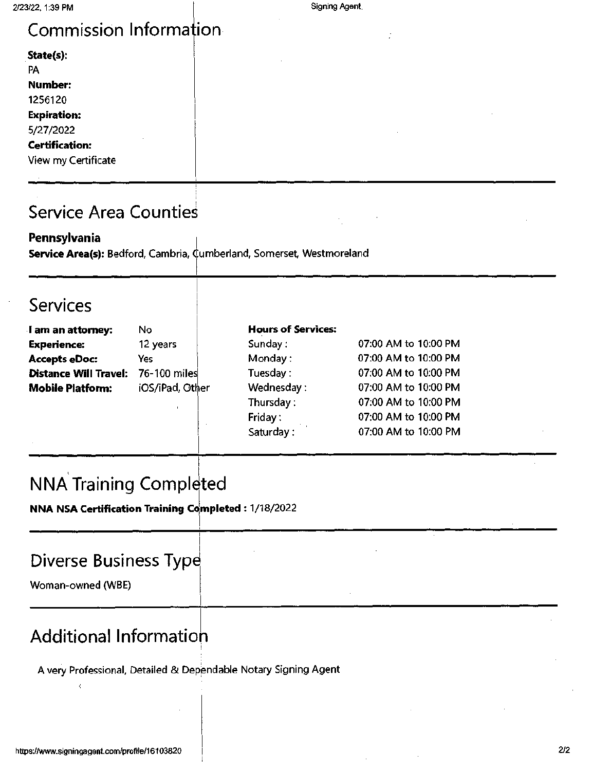## Commission Information

| State(s):             |  |  |  |
|-----------------------|--|--|--|
| PA                    |  |  |  |
| Number:               |  |  |  |
| 1256120               |  |  |  |
| <b>Expiration:</b>    |  |  |  |
| 5/27/2022             |  |  |  |
| <b>Certification:</b> |  |  |  |
| View my Certificate   |  |  |  |
|                       |  |  |  |

## Service Area Countie

**Pennsylvania** 

Service Area(s): Bedford, Cambria, Cumberland, Somerset, Westmoreland

#### Services

| I am an attorney:                         | No              | <b>Hours of Services:</b> |                      |
|-------------------------------------------|-----------------|---------------------------|----------------------|
| <b>Experience:</b>                        | 12 years        | Sunday:                   | 07:00 AM to 10:00 PM |
| <b>Accepts eDoc:</b>                      | Yes             | Monday:                   | 07:00 AM to 10:00 PM |
| <b>Distance Will Travel: 76-100 miles</b> |                 | Tuesday:                  | 07:00 AM to 10:00 PM |
| <b>Mobile Platform:</b>                   | iOS/iPad, Other | Wednesday:                | 07:00 AM to 10:00 PM |
|                                           |                 | Thursday:                 | 07:00 AM to 10:00 PM |
|                                           |                 | Friday:                   | 07:00 AM to 10:00 PM |

Saturday:

07:00 AM to 10:00 PM

## NNA Training Completed

I- **N NA NSA Certification Training Completed** : 1/18/2022

### Diverse Business Typ

Woman-owned (WBE)

## Additional lnformatio

A very Professional, Detailed & Dependable Notary Signing Agent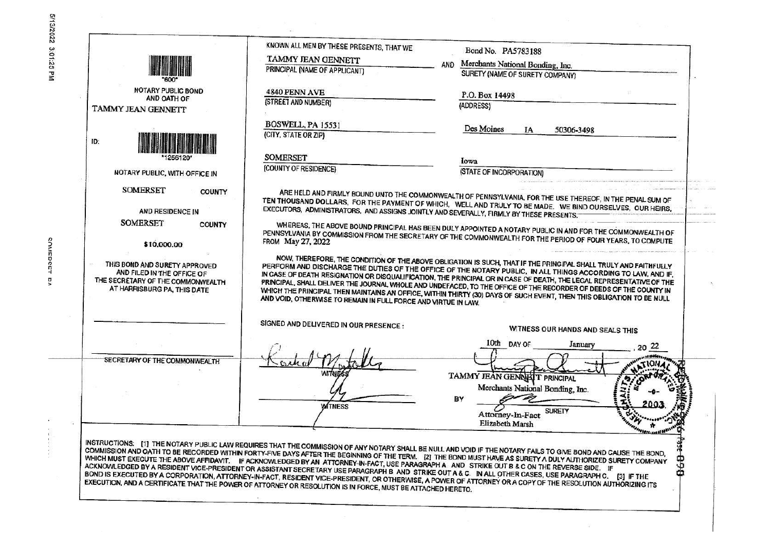**COMEDCET BA** 

 $\ddot{\phantom{0}}$ 

경

| <b>NOTARY PUBLIC BOND</b><br>AND OATH OF<br>TAMMY JEAN GENNETT<br>ID:                                                           | KNOWN ALL MEN BY THESE PRESENTS, THAT WE<br>Bond No. PA5783188<br>TAMMY JEAN GENNETT<br>Merchants National Bonding, Inc.<br><b>AND</b><br>PRINCIPAL (NAME OF APPLICANT)<br>SURETY (NAME OF SURETY COMPANY)<br>4840 PENN AVE<br>P.O. Box 14498<br>(STREET AND NUMBER)<br>(ADDRESS)<br>BOSWELL, PA 15531<br>Des Moines<br>IA<br>50306-3498<br>(CITY, STATE OR ZIP)                                                                                                                                                                                                                                                                                                                                                                                                                                                                                                                                                      |  |
|---------------------------------------------------------------------------------------------------------------------------------|-----------------------------------------------------------------------------------------------------------------------------------------------------------------------------------------------------------------------------------------------------------------------------------------------------------------------------------------------------------------------------------------------------------------------------------------------------------------------------------------------------------------------------------------------------------------------------------------------------------------------------------------------------------------------------------------------------------------------------------------------------------------------------------------------------------------------------------------------------------------------------------------------------------------------|--|
|                                                                                                                                 | <b>SOMERSET</b><br>Iowa<br>(COUNTY OF RESIDENCE)<br>(STATE OF INCORPORATION)                                                                                                                                                                                                                                                                                                                                                                                                                                                                                                                                                                                                                                                                                                                                                                                                                                          |  |
| NOTARY PUBLIC, WITH OFFICE IN                                                                                                   |                                                                                                                                                                                                                                                                                                                                                                                                                                                                                                                                                                                                                                                                                                                                                                                                                                                                                                                       |  |
| <b>SOMERSET</b><br><b>COUNTY</b><br>AND RESIDENCE IN                                                                            | ARE HELD AND FIRMLY BOUND UNTO THE COMMONWEALTH OF PENNSYLVANIA, FOR THE USE THEREOF, IN THE PENAL SUM OF<br>TEN THOUSAND DOLLARS, FOR THE PAYMENT OF WHICH, WELL AND TRULY TO BE MADE, WE BIND OURSELVES, OUR HEIRS,<br>EXECUTORS, ADMINISTRATORS, AND ASSIGNS JOINTLY AND SEVERALLY, FIRMLY BY THESE PRESENTS.                                                                                                                                                                                                                                                                                                                                                                                                                                                                                                                                                                                                      |  |
| <b>SOMERSET</b><br><b>COUNTY</b><br>\$10,000.00                                                                                 | WHEREAS, THE ABOVE BOUND PRINCIPAL HAS BEEN DULY APPOINTED A NOTARY PUBLIC IN AND FOR THE COMMONWEALTH OF<br>PENNSYLVANIA BY COMMISSION FROM THE SECRETARY OF THE COMMONWEALTH FOR THE PERIOD OF FOUR YEARS, TO COMPUTE<br>FROM May 27, 2022                                                                                                                                                                                                                                                                                                                                                                                                                                                                                                                                                                                                                                                                          |  |
| THIS BOND AND SURETY APPROVED<br>AND FILED IN THE OFFICE OF<br>THE SECRETARY OF THE COMMONWEALTH<br>AT HARRISBURG PA, THIS DATE | NOW, THEREFORE, THE CONDITION OF THE ABOVE OBLIGATION IS SUCH, THAT IF THE PRINCIPAL SHALL TRULY AND FAITHFULLY<br>PERFORM AND DISCHARGE THE DUTIES OF THE OFFICE OF THE NOTARY PUBLIC. IN ALL THINGS ACCORDING TO LAW, AND IF,<br>IN CASE OF DEATH RESIGNATION OR DISQUALIFICATION, THE PRINCIPAL OR IN CASE OF DEATH, THE LEGAL REPRESENTATIVE OF THE<br>PRINCIPAL, SHALL DELIVER THE JOURNAL WHOLE AND UNDEFACED, TO THE OFFICE OF THE RECORDER OF DEEDS OF THE COUNTY IN<br>WHICH THE PRINCIPAL THEN MAINTAINS AN OFFICE, WITHIN THIRTY (30) DAYS OF SUCH EVENT, THEN THIS OBLIGATION TO BE NULL<br>AND VOID, OTHERWISE TO REMAIN IN FULL FORCE AND VIRTUE IN LAW.                                                                                                                                                                                                                                                |  |
|                                                                                                                                 | SIGNED AND DELIVERED IN OUR PRESENCE :<br>WITNESS OUR HANDS AND SEALS THIS                                                                                                                                                                                                                                                                                                                                                                                                                                                                                                                                                                                                                                                                                                                                                                                                                                            |  |
|                                                                                                                                 | 10th DAY OF<br>January                                                                                                                                                                                                                                                                                                                                                                                                                                                                                                                                                                                                                                                                                                                                                                                                                                                                                                |  |
| SECRETARY OF THE COMMONWEALTH                                                                                                   | TAMMY JEAN GENNATT PRINCIPAL<br>Merchants National Bonding, Inc.<br>BY<br><b>WITNESS</b><br><b>SURETY</b><br>Attorney-In-Fact<br>Elizabeth Marsh                                                                                                                                                                                                                                                                                                                                                                                                                                                                                                                                                                                                                                                                                                                                                                      |  |
|                                                                                                                                 | INSTRUCTIONS: [1] THE NOTARY PUBLIC LAW REQUIRES THAT THE COMMISSION OF ANY NOTARY SHALL BE NULL AND VOID IF THE NOTARY FAILS TO GIVE BOND AND CAUSE THE BOND,<br>COMMISSION AND OATH TO BE RECORDED WITHIN FORTY-FIVE DAYS AFTER THE BEGINNING OF THE TERM. [2] THE BOND MUST HAVE AS SURETY A DULY AUTHORIZED SURETY COMPANY<br>WHICH MUST EXECUTE THE ABOVE AFFIDAVIT. IF ACKNOWLEDGED BY AN ATTORNEY-IN-FACT, USE PARAGRAPH A AND STRIKE OUT B & C ON THE REVERSE SIDE. IF<br>ACKNOWLEDGED BY A RESIDENT VICE-PRESIDENT OR ASSISTANT SECRETARY USE PARAGRAPH BAND STRIKE OUT A & C. IN ALL OTHER CASES, USE PARAGRAPH C. [3] IF THE<br>BOND IS EXECUTED BY A CORPORATION, ATTORNEY-IN-FACT, RESIDENT VICE-PRESIDENT, OR OTHERWISE, A POWER OF ATTORNEY OR A COPY OF THE RESOLUTION AUTHORIZING ITS<br>EXECUTION, AND A CERTIFICATE THAT THE POWER OF ATTORNEY OR RESOLUTION IS IN FORCE, MUST BE ATTACHED HERETO. |  |

 $\lambda_{\rm g}$ 

 $\tilde{w}$ 

 $\frac{1}{\sqrt{2}}$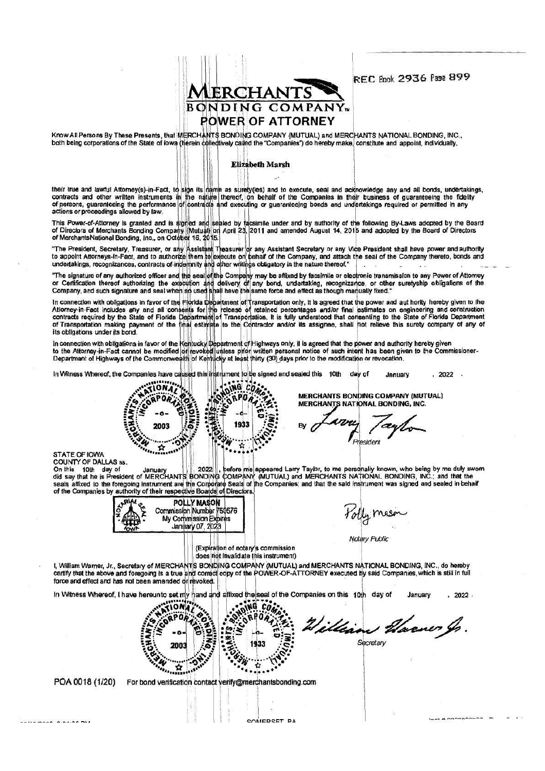**AERCHANTS BONDING COMPANY POWER OF ATTORNEY** 

**REC Book 2936 Pase 899** 

Know All Persons By These Presents, that MERCHANTS BONDING COMPANY (MUTUAL) and MERCHANTS NATIONAL BONDING, INC.,<br>both being corporations of the State of lowa (herein collectively called the "Companies") do hereby make, co

#### **Elizabeth Marsh**

their true and lawful Attorney(s)-in-Fact, to sign its name as surety(ies) and to execute, seal and acknowledge any and all bonds, undertakings, contracts and other written instruments in the nature thereof, on behalf of t actions or proceedings allowed by law.

This Power-of-Attorney is granted and is signed and sealed by facsimile under and by authority of the following By-Laws adopted by the Board<br>of Directors of Merchants Bonding Company (Mutual) on April 23, 2011 and amended

"The President, Secretary, Treasurer, or any Assistant Treasurer or any Assistant Secretary or any Vice President shall have power and authority<br>to appoint Attorneys-in-Fact, and to authorize them to execute on behalf of t

"The signature of any authorized officer and the seal of the Company may be affixed by facsimile or electronic transmission to any Power of Attomey<br>or Certification thereof authorizing the execution and delivery of any bon

In connection with obligations in favor of the Florida Department of Transportation only, it is agreed that the power and aut hority hereby given to the<br>Atlorney-in-Fact includes any and all consents for the release of ret its obligations under its bond

In connection with obligations in favor of the Kentucky Department of Highways only, il is agreed that the power and authority hereby given<br>to the Attorney-in-Fact cannot be modified or revoked unless prior written persona

In Witness Whereof, the Companies have caused this instrument to be signed and sealed this 10th day of  $, 2022$ . January



**MERCHANTS NATIONAL BONDING, INC.** Bv President

MERCHANTS BONDING COMPANY (MUTUAL)

STATE OF IOWA<br>COUNTY OF DALLAS ss.

POA 0018 (1/20)

05/10/0000 0-04-05 DM

CONFIER TO ME JOINTY STATES ON JANUARY 2022 . before me appeared Larry Taylor, to me personally known, who being by me duly swom<br>On this in the is President of MERCHANTS BONDING COMPANY (MUTUAL) and MERCHANTS NATIONAL BOND

|             | <b>POLLY MASON</b>       |
|-------------|--------------------------|
| EAST RE     | Commission Number 750576 |
|             | My Commission Expires    |
| <b>YOWN</b> | January 07, 2023         |

*Yolly* mason

Notary Public

 $L = L$  **Express Asset Asset** 

(Expiration of notary's commission does not invalidate this instrument)

I, William Warner, Jr., Secretary of MERCHANTS BONDING COMPANY (MUTUAL) and MERCHANTS NATIONAL BONDING, INC., do hereby certify that the above and foregoing is a true and correct copy of the POWER-OF-ATTORNEY executed by said Companies, which is still in full force and effect and has not been amended or revoked.

hand and affixed the seal of the Companies on this 10th day of In Witness Whereof. I have hereunto set my January 2022.

SOMEPSET PA